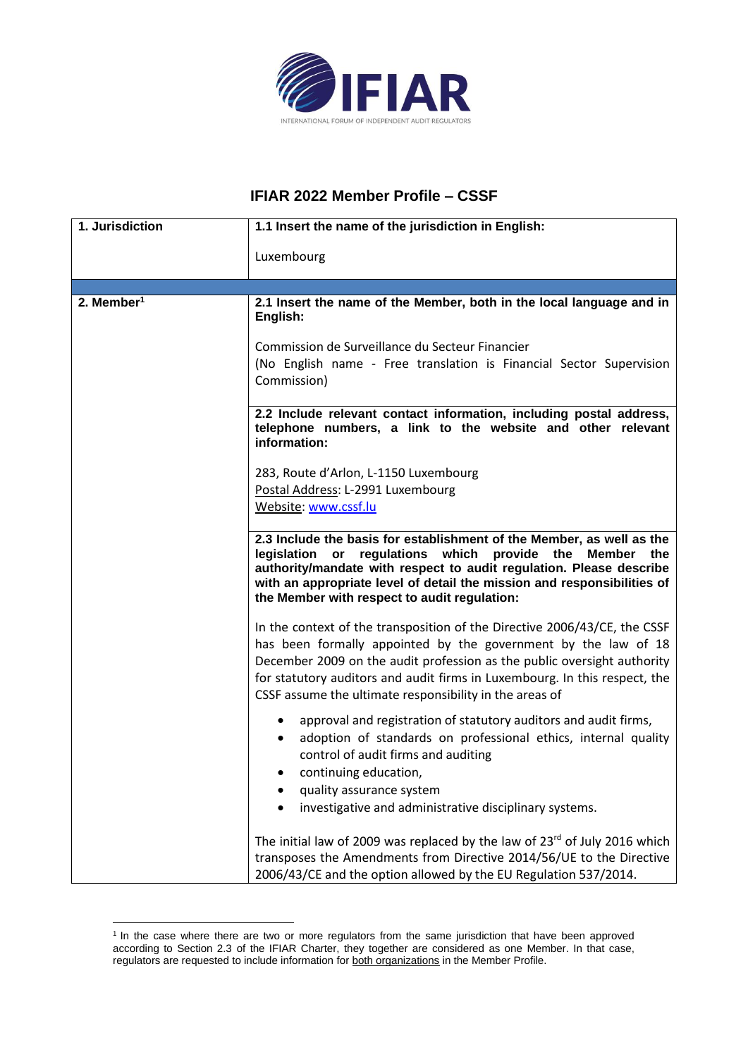

## **IFIAR 2022 Member Profile – CSSF**

| 1. Jurisdiction        | 1.1 Insert the name of the jurisdiction in English:                                                                                                                                                                                                                                                                                                             |
|------------------------|-----------------------------------------------------------------------------------------------------------------------------------------------------------------------------------------------------------------------------------------------------------------------------------------------------------------------------------------------------------------|
|                        | Luxembourg                                                                                                                                                                                                                                                                                                                                                      |
|                        |                                                                                                                                                                                                                                                                                                                                                                 |
| 2. Member <sup>1</sup> | 2.1 Insert the name of the Member, both in the local language and in<br>English:                                                                                                                                                                                                                                                                                |
|                        | Commission de Surveillance du Secteur Financier<br>(No English name - Free translation is Financial Sector Supervision<br>Commission)                                                                                                                                                                                                                           |
|                        | 2.2 Include relevant contact information, including postal address,<br>telephone numbers, a link to the website and other relevant<br>information:                                                                                                                                                                                                              |
|                        | 283, Route d'Arlon, L-1150 Luxembourg                                                                                                                                                                                                                                                                                                                           |
|                        | Postal Address: L-2991 Luxembourg                                                                                                                                                                                                                                                                                                                               |
|                        | Website: www.cssf.lu                                                                                                                                                                                                                                                                                                                                            |
|                        |                                                                                                                                                                                                                                                                                                                                                                 |
|                        | 2.3 Include the basis for establishment of the Member, as well as the<br>legislation or regulations which provide the Member the<br>authority/mandate with respect to audit regulation. Please describe<br>with an appropriate level of detail the mission and responsibilities of<br>the Member with respect to audit regulation:                              |
|                        | In the context of the transposition of the Directive 2006/43/CE, the CSSF<br>has been formally appointed by the government by the law of 18<br>December 2009 on the audit profession as the public oversight authority<br>for statutory auditors and audit firms in Luxembourg. In this respect, the<br>CSSF assume the ultimate responsibility in the areas of |
|                        | approval and registration of statutory auditors and audit firms,<br>adoption of standards on professional ethics, internal quality<br>control of audit firms and auditing<br>continuing education,<br>quality assurance system<br>investigative and administrative disciplinary systems.                                                                        |
|                        | The initial law of 2009 was replaced by the law of $23^{rd}$ of July 2016 which<br>transposes the Amendments from Directive 2014/56/UE to the Directive<br>2006/43/CE and the option allowed by the EU Regulation 537/2014.                                                                                                                                     |

<sup>&</sup>lt;sup>1</sup> In the case where there are two or more regulators from the same jurisdiction that have been approved according to Section 2.3 of the IFIAR Charter, they together are considered as one Member. In that case, regulators are requested to include information for both organizations in the Member Profile.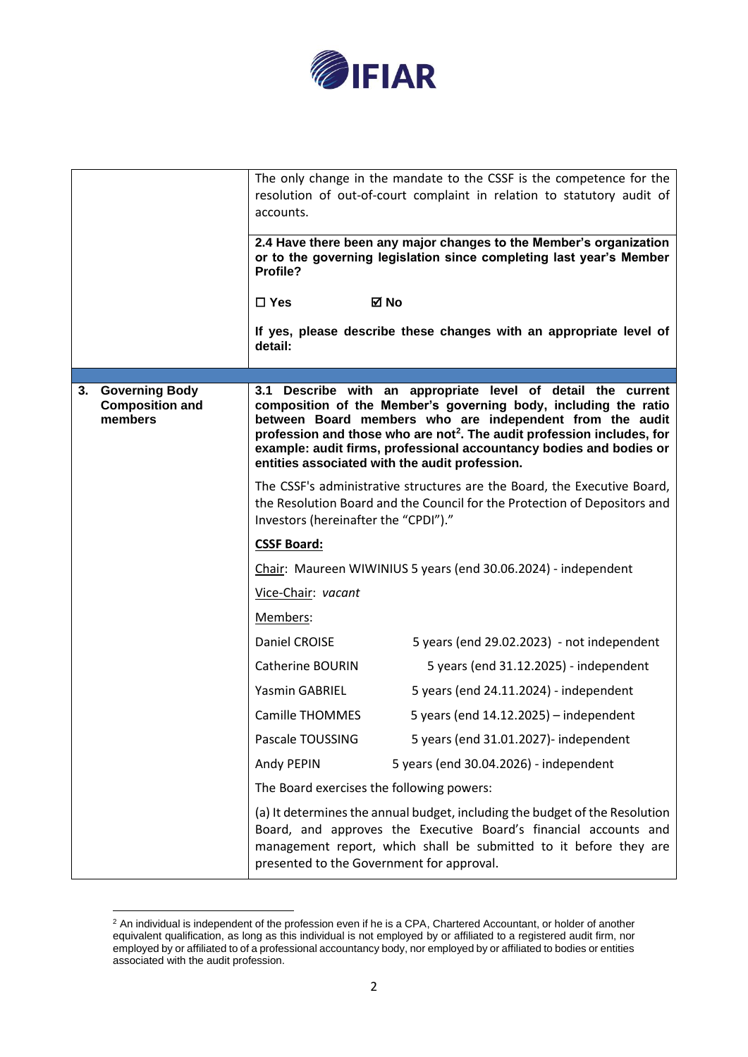

|                                                        | The only change in the mandate to the CSSF is the competence for the<br>resolution of out-of-court complaint in relation to statutory audit of<br>accounts.<br>2.4 Have there been any major changes to the Member's organization<br>or to the governing legislation since completing last year's Member<br>Profile?<br>⊠ No<br>$\square$ Yes<br>If yes, please describe these changes with an appropriate level of<br>detail: |
|--------------------------------------------------------|--------------------------------------------------------------------------------------------------------------------------------------------------------------------------------------------------------------------------------------------------------------------------------------------------------------------------------------------------------------------------------------------------------------------------------|
|                                                        |                                                                                                                                                                                                                                                                                                                                                                                                                                |
| 3. Governing Body<br><b>Composition and</b><br>members | 3.1 Describe with an appropriate level of detail the current<br>composition of the Member's governing body, including the ratio<br>between Board members who are independent from the audit<br>profession and those who are not <sup>2</sup> . The audit profession includes, for<br>example: audit firms, professional accountancy bodies and bodies or<br>entities associated with the audit profession.                     |
|                                                        | The CSSF's administrative structures are the Board, the Executive Board,<br>the Resolution Board and the Council for the Protection of Depositors and<br>Investors (hereinafter the "CPDI")."                                                                                                                                                                                                                                  |
|                                                        | <b>CSSF Board:</b>                                                                                                                                                                                                                                                                                                                                                                                                             |
|                                                        | Chair: Maureen WIWINIUS 5 years (end 30.06.2024) - independent                                                                                                                                                                                                                                                                                                                                                                 |
|                                                        | Vice-Chair: vacant                                                                                                                                                                                                                                                                                                                                                                                                             |
|                                                        | Members:                                                                                                                                                                                                                                                                                                                                                                                                                       |
|                                                        | Daniel CROISE<br>5 years (end 29.02.2023) - not independent                                                                                                                                                                                                                                                                                                                                                                    |
|                                                        | Catherine BOURIN<br>5 years (end 31.12.2025) - independent                                                                                                                                                                                                                                                                                                                                                                     |
|                                                        | Yasmin GABRIEL<br>5 years (end 24.11.2024) - independent                                                                                                                                                                                                                                                                                                                                                                       |
|                                                        | Camille THOMMES<br>5 years (end $14.12.2025$ ) - independent                                                                                                                                                                                                                                                                                                                                                                   |
|                                                        | Pascale TOUSSING<br>5 years (end 31.01.2027)- independent                                                                                                                                                                                                                                                                                                                                                                      |
|                                                        | 5 years (end 30.04.2026) - independent<br>Andy PEPIN                                                                                                                                                                                                                                                                                                                                                                           |
|                                                        | The Board exercises the following powers:                                                                                                                                                                                                                                                                                                                                                                                      |
|                                                        | (a) It determines the annual budget, including the budget of the Resolution<br>Board, and approves the Executive Board's financial accounts and<br>management report, which shall be submitted to it before they are<br>presented to the Government for approval.                                                                                                                                                              |

 $2$  An individual is independent of the profession even if he is a CPA, Chartered Accountant, or holder of another equivalent qualification, as long as this individual is not employed by or affiliated to a registered audit firm, nor employed by or affiliated to of a professional accountancy body, nor employed by or affiliated to bodies or entities associated with the audit profession.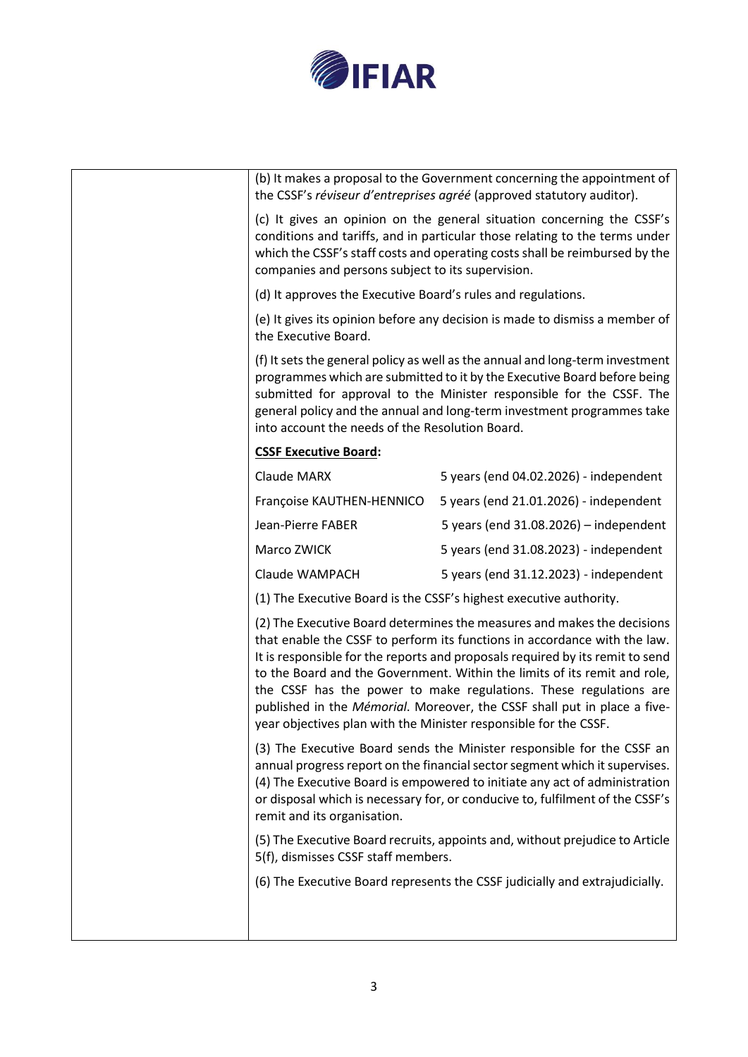

|                                                                  | (b) It makes a proposal to the Government concerning the appointment of<br>the CSSF's réviseur d'entreprises agréé (approved statutory auditor).                                                                                                                                                                                                                                                                                                                    |
|------------------------------------------------------------------|---------------------------------------------------------------------------------------------------------------------------------------------------------------------------------------------------------------------------------------------------------------------------------------------------------------------------------------------------------------------------------------------------------------------------------------------------------------------|
| companies and persons subject to its supervision.                | (c) It gives an opinion on the general situation concerning the CSSF's<br>conditions and tariffs, and in particular those relating to the terms under<br>which the CSSF's staff costs and operating costs shall be reimbursed by the                                                                                                                                                                                                                                |
| (d) It approves the Executive Board's rules and regulations.     |                                                                                                                                                                                                                                                                                                                                                                                                                                                                     |
| the Executive Board.                                             | (e) It gives its opinion before any decision is made to dismiss a member of                                                                                                                                                                                                                                                                                                                                                                                         |
| into account the needs of the Resolution Board.                  | (f) It sets the general policy as well as the annual and long-term investment<br>programmes which are submitted to it by the Executive Board before being<br>submitted for approval to the Minister responsible for the CSSF. The<br>general policy and the annual and long-term investment programmes take                                                                                                                                                         |
| <b>CSSF Executive Board:</b>                                     |                                                                                                                                                                                                                                                                                                                                                                                                                                                                     |
| Claude MARX                                                      | 5 years (end 04.02.2026) - independent                                                                                                                                                                                                                                                                                                                                                                                                                              |
| Françoise KAUTHEN-HENNICO                                        | 5 years (end 21.01.2026) - independent                                                                                                                                                                                                                                                                                                                                                                                                                              |
| Jean-Pierre FABER                                                | 5 years (end $31.08.2026$ ) - independent                                                                                                                                                                                                                                                                                                                                                                                                                           |
| Marco ZWICK                                                      | 5 years (end 31.08.2023) - independent                                                                                                                                                                                                                                                                                                                                                                                                                              |
| Claude WAMPACH                                                   | 5 years (end 31.12.2023) - independent                                                                                                                                                                                                                                                                                                                                                                                                                              |
|                                                                  | (1) The Executive Board is the CSSF's highest executive authority.                                                                                                                                                                                                                                                                                                                                                                                                  |
| year objectives plan with the Minister responsible for the CSSF. | (2) The Executive Board determines the measures and makes the decisions<br>that enable the CSSF to perform its functions in accordance with the law.<br>It is responsible for the reports and proposals required by its remit to send<br>to the Board and the Government. Within the limits of its remit and role,<br>the CSSF has the power to make regulations. These regulations are<br>published in the Mémorial. Moreover, the CSSF shall put in place a five- |
| remit and its organisation.                                      | (3) The Executive Board sends the Minister responsible for the CSSF an<br>annual progress report on the financial sector segment which it supervises.<br>(4) The Executive Board is empowered to initiate any act of administration<br>or disposal which is necessary for, or conducive to, fulfilment of the CSSF's                                                                                                                                                |
| 5(f), dismisses CSSF staff members.                              | (5) The Executive Board recruits, appoints and, without prejudice to Article                                                                                                                                                                                                                                                                                                                                                                                        |
|                                                                  | (6) The Executive Board represents the CSSF judicially and extrajudicially.                                                                                                                                                                                                                                                                                                                                                                                         |
|                                                                  |                                                                                                                                                                                                                                                                                                                                                                                                                                                                     |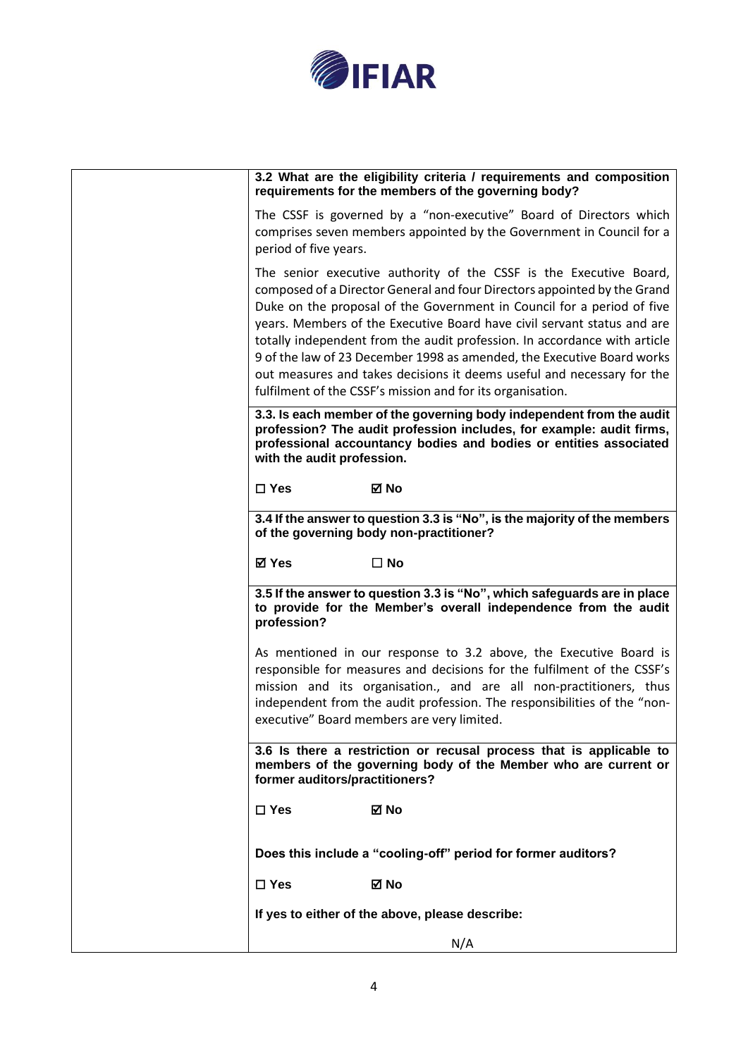

| 3.2 What are the eligibility criteria / requirements and composition<br>requirements for the members of the governing body?                                                                                                                                                                                                                                                                                                                                                                                                                                                                        |
|----------------------------------------------------------------------------------------------------------------------------------------------------------------------------------------------------------------------------------------------------------------------------------------------------------------------------------------------------------------------------------------------------------------------------------------------------------------------------------------------------------------------------------------------------------------------------------------------------|
| The CSSF is governed by a "non-executive" Board of Directors which<br>comprises seven members appointed by the Government in Council for a<br>period of five years.                                                                                                                                                                                                                                                                                                                                                                                                                                |
| The senior executive authority of the CSSF is the Executive Board,<br>composed of a Director General and four Directors appointed by the Grand<br>Duke on the proposal of the Government in Council for a period of five<br>years. Members of the Executive Board have civil servant status and are<br>totally independent from the audit profession. In accordance with article<br>9 of the law of 23 December 1998 as amended, the Executive Board works<br>out measures and takes decisions it deems useful and necessary for the<br>fulfilment of the CSSF's mission and for its organisation. |
| 3.3. Is each member of the governing body independent from the audit<br>profession? The audit profession includes, for example: audit firms,<br>professional accountancy bodies and bodies or entities associated<br>with the audit profession.                                                                                                                                                                                                                                                                                                                                                    |
| $\square$ Yes<br>⊠ No                                                                                                                                                                                                                                                                                                                                                                                                                                                                                                                                                                              |
| 3.4 If the answer to question 3.3 is "No", is the majority of the members<br>of the governing body non-practitioner?                                                                                                                                                                                                                                                                                                                                                                                                                                                                               |
| <b>⊠</b> Yes<br>$\Box$ No                                                                                                                                                                                                                                                                                                                                                                                                                                                                                                                                                                          |
| 3.5 If the answer to question 3.3 is "No", which safeguards are in place<br>to provide for the Member's overall independence from the audit<br>profession?                                                                                                                                                                                                                                                                                                                                                                                                                                         |
| As mentioned in our response to 3.2 above, the Executive Board is<br>responsible for measures and decisions for the fulfilment of the CSSF's<br>mission and its organisation., and are all non-practitioners, thus<br>independent from the audit profession. The responsibilities of the "non-<br>executive" Board members are very limited.                                                                                                                                                                                                                                                       |
| 3.6 Is there a restriction or recusal process that is applicable to<br>members of the governing body of the Member who are current or<br>former auditors/practitioners?                                                                                                                                                                                                                                                                                                                                                                                                                            |
| ⊠ No<br>$\Box$ Yes                                                                                                                                                                                                                                                                                                                                                                                                                                                                                                                                                                                 |
| Does this include a "cooling-off" period for former auditors?                                                                                                                                                                                                                                                                                                                                                                                                                                                                                                                                      |
| ⊠ No<br>$\Box$ Yes                                                                                                                                                                                                                                                                                                                                                                                                                                                                                                                                                                                 |
| If yes to either of the above, please describe:                                                                                                                                                                                                                                                                                                                                                                                                                                                                                                                                                    |
| N/A                                                                                                                                                                                                                                                                                                                                                                                                                                                                                                                                                                                                |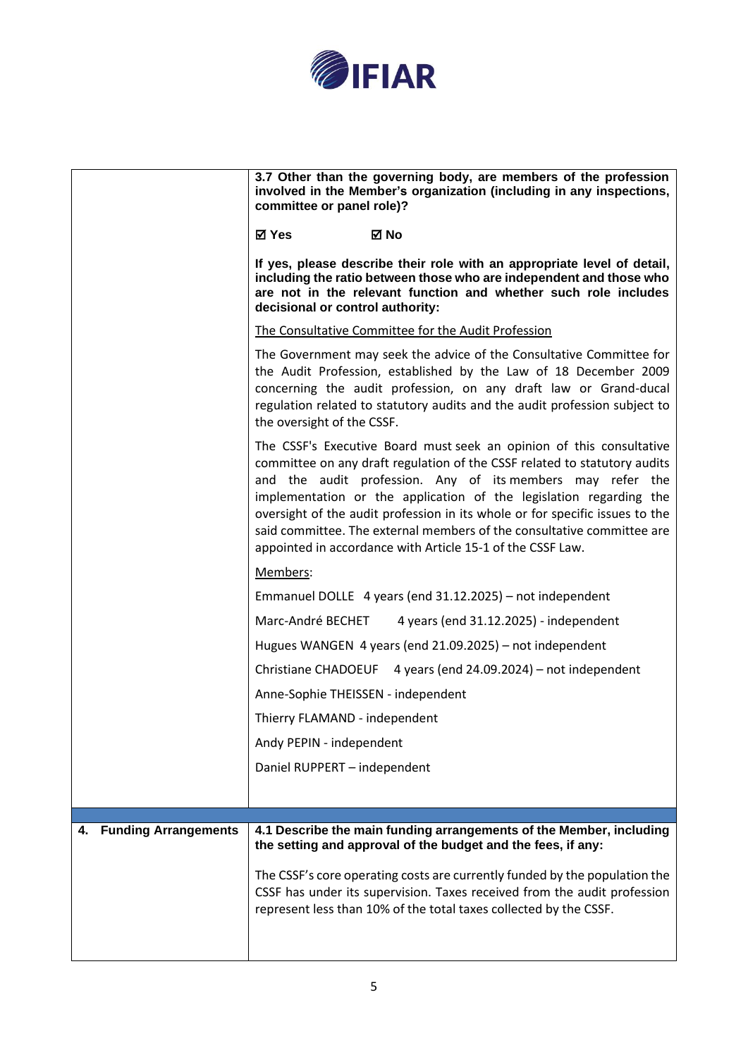

|                                   | 3.7 Other than the governing body, are members of the profession<br>involved in the Member's organization (including in any inspections,<br>committee or panel role)?                                                                                                                                                                                                                                                                                                                                         |
|-----------------------------------|---------------------------------------------------------------------------------------------------------------------------------------------------------------------------------------------------------------------------------------------------------------------------------------------------------------------------------------------------------------------------------------------------------------------------------------------------------------------------------------------------------------|
|                                   | <b>⊠</b> Yes<br>⊠ No                                                                                                                                                                                                                                                                                                                                                                                                                                                                                          |
|                                   | If yes, please describe their role with an appropriate level of detail,<br>including the ratio between those who are independent and those who<br>are not in the relevant function and whether such role includes<br>decisional or control authority:                                                                                                                                                                                                                                                         |
|                                   | The Consultative Committee for the Audit Profession                                                                                                                                                                                                                                                                                                                                                                                                                                                           |
|                                   | The Government may seek the advice of the Consultative Committee for<br>the Audit Profession, established by the Law of 18 December 2009<br>concerning the audit profession, on any draft law or Grand-ducal<br>regulation related to statutory audits and the audit profession subject to<br>the oversight of the CSSF.                                                                                                                                                                                      |
|                                   | The CSSF's Executive Board must seek an opinion of this consultative<br>committee on any draft regulation of the CSSF related to statutory audits<br>and the audit profession. Any of its members may refer the<br>implementation or the application of the legislation regarding the<br>oversight of the audit profession in its whole or for specific issues to the<br>said committee. The external members of the consultative committee are<br>appointed in accordance with Article 15-1 of the CSSF Law. |
|                                   | Members:                                                                                                                                                                                                                                                                                                                                                                                                                                                                                                      |
|                                   | Emmanuel DOLLE 4 years (end 31.12.2025) – not independent                                                                                                                                                                                                                                                                                                                                                                                                                                                     |
|                                   | Marc-André BECHET<br>4 years (end 31.12.2025) - independent                                                                                                                                                                                                                                                                                                                                                                                                                                                   |
|                                   | Hugues WANGEN 4 years (end 21.09.2025) – not independent                                                                                                                                                                                                                                                                                                                                                                                                                                                      |
|                                   | Christiane CHADOEUF 4 years (end 24.09.2024) – not independent                                                                                                                                                                                                                                                                                                                                                                                                                                                |
|                                   | Anne-Sophie THEISSEN - independent                                                                                                                                                                                                                                                                                                                                                                                                                                                                            |
|                                   | Thierry FLAMAND - independent                                                                                                                                                                                                                                                                                                                                                                                                                                                                                 |
|                                   | Andy PEPIN - independent                                                                                                                                                                                                                                                                                                                                                                                                                                                                                      |
|                                   | Daniel RUPPERT - independent                                                                                                                                                                                                                                                                                                                                                                                                                                                                                  |
|                                   |                                                                                                                                                                                                                                                                                                                                                                                                                                                                                                               |
| <b>Funding Arrangements</b><br>4. | 4.1 Describe the main funding arrangements of the Member, including                                                                                                                                                                                                                                                                                                                                                                                                                                           |
|                                   | the setting and approval of the budget and the fees, if any:                                                                                                                                                                                                                                                                                                                                                                                                                                                  |
|                                   | The CSSF's core operating costs are currently funded by the population the<br>CSSF has under its supervision. Taxes received from the audit profession<br>represent less than 10% of the total taxes collected by the CSSF.                                                                                                                                                                                                                                                                                   |
|                                   |                                                                                                                                                                                                                                                                                                                                                                                                                                                                                                               |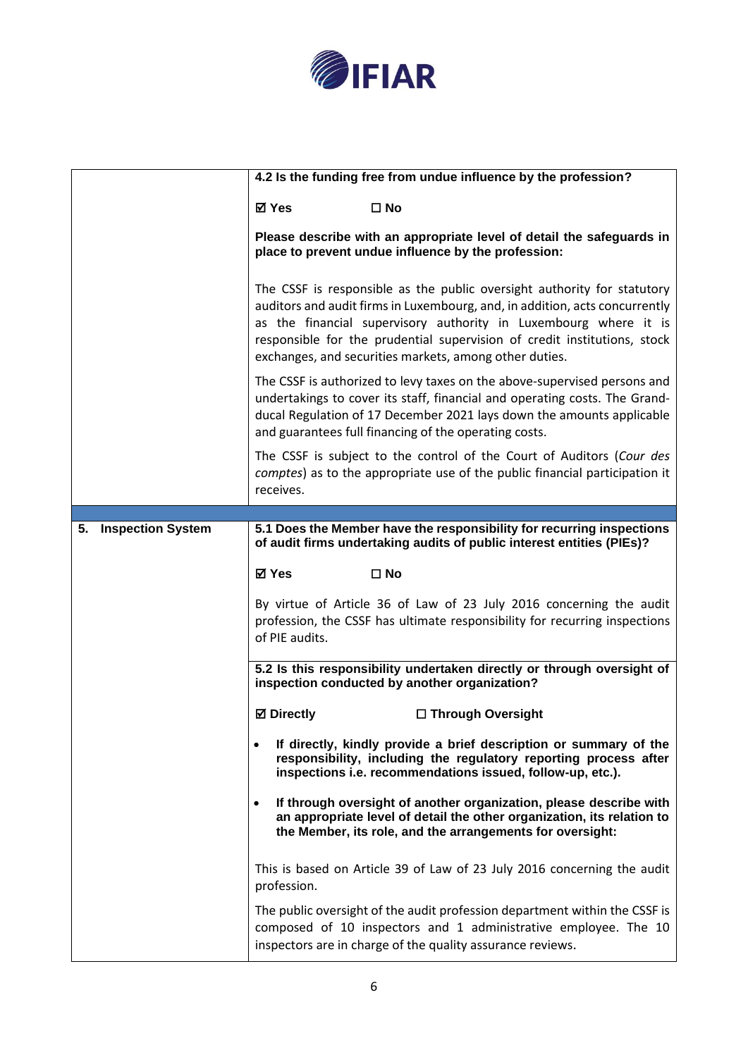

|                                | 4.2 Is the funding free from undue influence by the profession?                                                                                                                                                                                                                                                                                                  |
|--------------------------------|------------------------------------------------------------------------------------------------------------------------------------------------------------------------------------------------------------------------------------------------------------------------------------------------------------------------------------------------------------------|
|                                | <b>⊠</b> Yes<br>$\square$ No                                                                                                                                                                                                                                                                                                                                     |
|                                | Please describe with an appropriate level of detail the safeguards in<br>place to prevent undue influence by the profession:                                                                                                                                                                                                                                     |
|                                | The CSSF is responsible as the public oversight authority for statutory<br>auditors and audit firms in Luxembourg, and, in addition, acts concurrently<br>as the financial supervisory authority in Luxembourg where it is<br>responsible for the prudential supervision of credit institutions, stock<br>exchanges, and securities markets, among other duties. |
|                                | The CSSF is authorized to levy taxes on the above-supervised persons and<br>undertakings to cover its staff, financial and operating costs. The Grand-<br>ducal Regulation of 17 December 2021 lays down the amounts applicable<br>and guarantees full financing of the operating costs.                                                                         |
|                                | The CSSF is subject to the control of the Court of Auditors (Cour des<br>comptes) as to the appropriate use of the public financial participation it<br>receives.                                                                                                                                                                                                |
|                                |                                                                                                                                                                                                                                                                                                                                                                  |
| <b>Inspection System</b><br>5. | 5.1 Does the Member have the responsibility for recurring inspections<br>of audit firms undertaking audits of public interest entities (PIEs)?                                                                                                                                                                                                                   |
|                                | <b>⊠</b> Yes<br>$\square$ No                                                                                                                                                                                                                                                                                                                                     |
|                                | By virtue of Article 36 of Law of 23 July 2016 concerning the audit<br>profession, the CSSF has ultimate responsibility for recurring inspections<br>of PIE audits.                                                                                                                                                                                              |
|                                | 5.2 Is this responsibility undertaken directly or through oversight of<br>inspection conducted by another organization?                                                                                                                                                                                                                                          |
|                                | <b>⊠</b> Directly<br>□ Through Oversight                                                                                                                                                                                                                                                                                                                         |
|                                | If directly, kindly provide a brief description or summary of the<br>$\bullet$<br>responsibility, including the regulatory reporting process after<br>inspections i.e. recommendations issued, follow-up, etc.).                                                                                                                                                 |
|                                | If through oversight of another organization, please describe with<br>an appropriate level of detail the other organization, its relation to<br>the Member, its role, and the arrangements for oversight:                                                                                                                                                        |
|                                | This is based on Article 39 of Law of 23 July 2016 concerning the audit<br>profession.                                                                                                                                                                                                                                                                           |
|                                | The public oversight of the audit profession department within the CSSF is<br>composed of 10 inspectors and 1 administrative employee. The 10<br>inspectors are in charge of the quality assurance reviews.                                                                                                                                                      |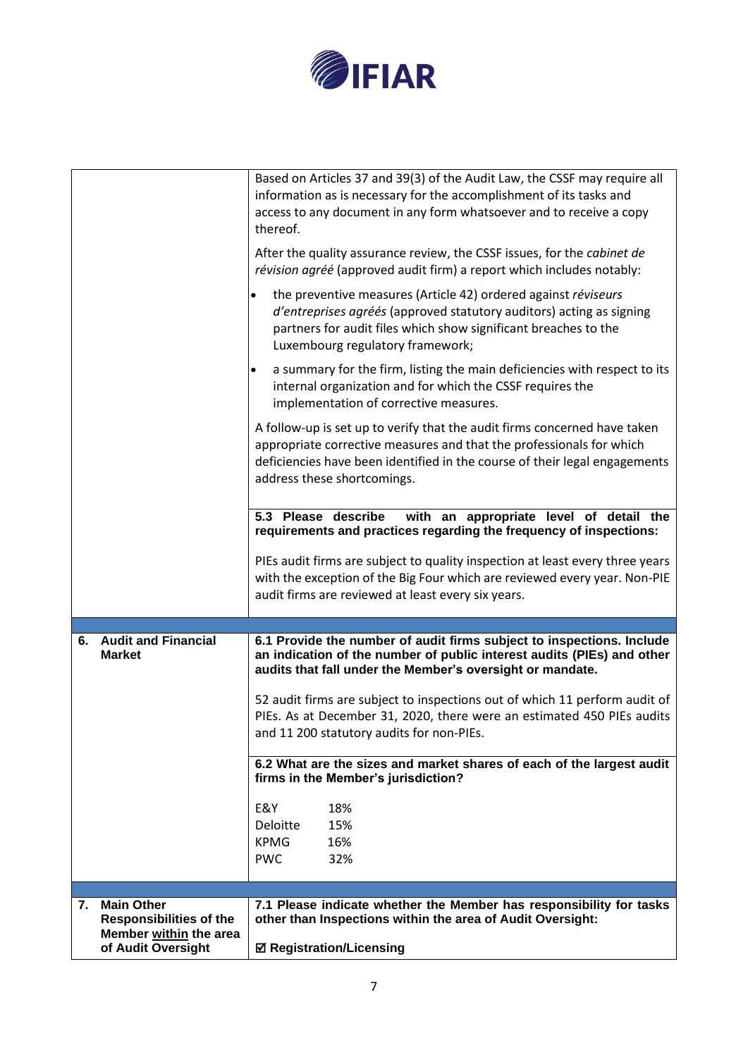

| <b>Main Other</b><br>7.<br><b>Responsibilities of the</b><br>Member within the area | 7.1 Please indicate whether the Member has responsibility for tasks<br>other than Inspections within the area of Audit Oversight:                    |
|-------------------------------------------------------------------------------------|------------------------------------------------------------------------------------------------------------------------------------------------------|
|                                                                                     |                                                                                                                                                      |
|                                                                                     |                                                                                                                                                      |
|                                                                                     | <b>KPMG</b><br><b>PWC</b><br>32%                                                                                                                     |
|                                                                                     | Deloitte<br>15%<br>16%                                                                                                                               |
|                                                                                     | E&Y<br>18%                                                                                                                                           |
|                                                                                     |                                                                                                                                                      |
|                                                                                     | 6.2 What are the sizes and market shares of each of the largest audit<br>firms in the Member's jurisdiction?                                         |
|                                                                                     |                                                                                                                                                      |
|                                                                                     | and 11 200 statutory audits for non-PIEs.                                                                                                            |
|                                                                                     | 52 audit firms are subject to inspections out of which 11 perform audit of<br>PIEs. As at December 31, 2020, there were an estimated 450 PIEs audits |
|                                                                                     |                                                                                                                                                      |
| <b>Market</b>                                                                       | an indication of the number of public interest audits (PIEs) and other<br>audits that fall under the Member's oversight or mandate.                  |
| <b>Audit and Financial</b><br>6.                                                    | 6.1 Provide the number of audit firms subject to inspections. Include                                                                                |
|                                                                                     |                                                                                                                                                      |
|                                                                                     | audit firms are reviewed at least every six years.                                                                                                   |
|                                                                                     | with the exception of the Big Four which are reviewed every year. Non-PIE                                                                            |
|                                                                                     | PIEs audit firms are subject to quality inspection at least every three years                                                                        |
|                                                                                     | requirements and practices regarding the frequency of inspections:                                                                                   |
|                                                                                     | with an appropriate level of detail the<br>5.3 Please describe                                                                                       |
|                                                                                     | address these shortcomings.                                                                                                                          |
|                                                                                     | deficiencies have been identified in the course of their legal engagements                                                                           |
|                                                                                     | appropriate corrective measures and that the professionals for which                                                                                 |
|                                                                                     | A follow-up is set up to verify that the audit firms concerned have taken                                                                            |
|                                                                                     | internal organization and for which the CSSF requires the<br>implementation of corrective measures.                                                  |
|                                                                                     | a summary for the firm, listing the main deficiencies with respect to its<br>$\bullet$                                                               |
|                                                                                     | Luxembourg regulatory framework;                                                                                                                     |
|                                                                                     | d'entreprises agréés (approved statutory auditors) acting as signing<br>partners for audit files which show significant breaches to the              |
|                                                                                     | the preventive measures (Article 42) ordered against réviseurs                                                                                       |
|                                                                                     | révision agréé (approved audit firm) a report which includes notably:                                                                                |
|                                                                                     | After the quality assurance review, the CSSF issues, for the cabinet de                                                                              |
|                                                                                     | thereof.                                                                                                                                             |
|                                                                                     | information as is necessary for the accomplishment of its tasks and<br>access to any document in any form whatsoever and to receive a copy           |
|                                                                                     |                                                                                                                                                      |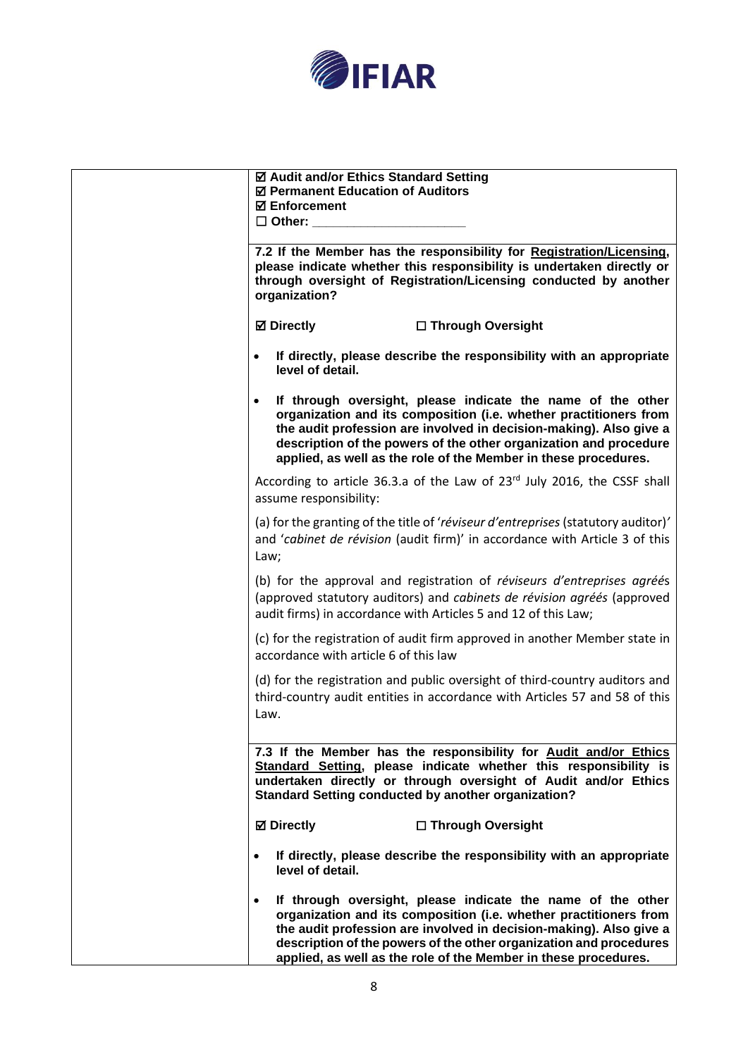

| ☑ Audit and/or Ethics Standard Setting<br>☑ Permanent Education of Auditors<br><b>⊠</b> Enforcement<br>$\Box$ Other:                                                                                                                                                                                                                            |
|-------------------------------------------------------------------------------------------------------------------------------------------------------------------------------------------------------------------------------------------------------------------------------------------------------------------------------------------------|
| 7.2 If the Member has the responsibility for Registration/Licensing,<br>please indicate whether this responsibility is undertaken directly or<br>through oversight of Registration/Licensing conducted by another<br>organization?                                                                                                              |
| <b>⊠</b> Directly<br>□ Through Oversight                                                                                                                                                                                                                                                                                                        |
| If directly, please describe the responsibility with an appropriate<br>level of detail.                                                                                                                                                                                                                                                         |
| If through oversight, please indicate the name of the other<br>organization and its composition (i.e. whether practitioners from<br>the audit profession are involved in decision-making). Also give a<br>description of the powers of the other organization and procedure<br>applied, as well as the role of the Member in these procedures.  |
| According to article 36.3.a of the Law of 23 <sup>rd</sup> July 2016, the CSSF shall<br>assume responsibility:                                                                                                                                                                                                                                  |
| (a) for the granting of the title of 'réviseur d'entreprises (statutory auditor)'<br>and 'cabinet de révision (audit firm)' in accordance with Article 3 of this<br>Law;                                                                                                                                                                        |
| (b) for the approval and registration of réviseurs d'entreprises agréés<br>(approved statutory auditors) and cabinets de révision agréés (approved<br>audit firms) in accordance with Articles 5 and 12 of this Law;                                                                                                                            |
| (c) for the registration of audit firm approved in another Member state in<br>accordance with article 6 of this law                                                                                                                                                                                                                             |
| (d) for the registration and public oversight of third-country auditors and<br>third-country audit entities in accordance with Articles 57 and 58 of this<br>Law.                                                                                                                                                                               |
| 7.3 If the Member has the responsibility for Audit and/or Ethics<br>Standard Setting, please indicate whether this responsibility is<br>undertaken directly or through oversight of Audit and/or Ethics<br><b>Standard Setting conducted by another organization?</b>                                                                           |
| <b>⊠</b> Directly<br>□ Through Oversight                                                                                                                                                                                                                                                                                                        |
| If directly, please describe the responsibility with an appropriate<br>level of detail.                                                                                                                                                                                                                                                         |
| If through oversight, please indicate the name of the other<br>organization and its composition (i.e. whether practitioners from<br>the audit profession are involved in decision-making). Also give a<br>description of the powers of the other organization and procedures<br>applied, as well as the role of the Member in these procedures. |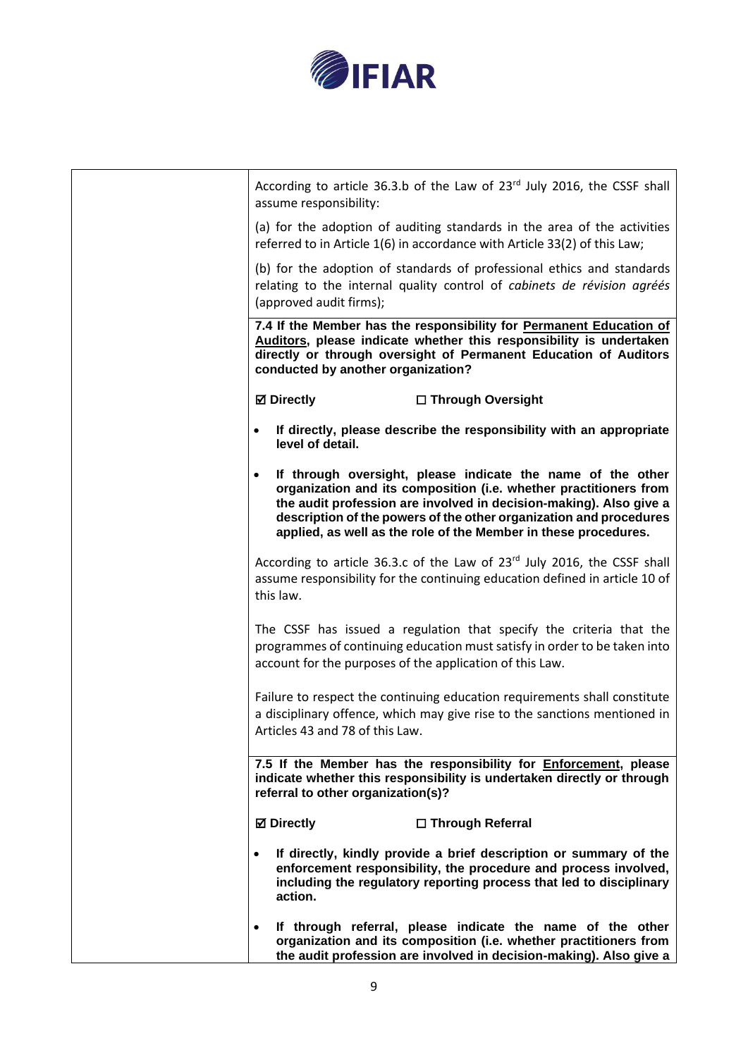

| According to article 36.3.b of the Law of 23rd July 2016, the CSSF shall<br>assume responsibility:                                                                                                                                                                                                                                              |
|-------------------------------------------------------------------------------------------------------------------------------------------------------------------------------------------------------------------------------------------------------------------------------------------------------------------------------------------------|
| (a) for the adoption of auditing standards in the area of the activities<br>referred to in Article 1(6) in accordance with Article 33(2) of this Law;                                                                                                                                                                                           |
| (b) for the adoption of standards of professional ethics and standards<br>relating to the internal quality control of cabinets de révision agréés<br>(approved audit firms);                                                                                                                                                                    |
| 7.4 If the Member has the responsibility for Permanent Education of<br>Auditors, please indicate whether this responsibility is undertaken<br>directly or through oversight of Permanent Education of Auditors<br>conducted by another organization?                                                                                            |
| <b>Ø</b> Directly<br>□ Through Oversight                                                                                                                                                                                                                                                                                                        |
| If directly, please describe the responsibility with an appropriate<br>level of detail.                                                                                                                                                                                                                                                         |
| If through oversight, please indicate the name of the other<br>organization and its composition (i.e. whether practitioners from<br>the audit profession are involved in decision-making). Also give a<br>description of the powers of the other organization and procedures<br>applied, as well as the role of the Member in these procedures. |
| According to article 36.3.c of the Law of 23 <sup>rd</sup> July 2016, the CSSF shall<br>assume responsibility for the continuing education defined in article 10 of<br>this law.                                                                                                                                                                |
| The CSSF has issued a regulation that specify the criteria that the<br>programmes of continuing education must satisfy in order to be taken into<br>account for the purposes of the application of this Law.                                                                                                                                    |
| Failure to respect the continuing education requirements shall constitute<br>a disciplinary offence, which may give rise to the sanctions mentioned in<br>Articles 43 and 78 of this Law.                                                                                                                                                       |
| 7.5 If the Member has the responsibility for Enforcement, please<br>indicate whether this responsibility is undertaken directly or through<br>referral to other organization(s)?                                                                                                                                                                |
| <b>Ø</b> Directly<br>□ Through Referral                                                                                                                                                                                                                                                                                                         |
| If directly, kindly provide a brief description or summary of the<br>$\bullet$<br>enforcement responsibility, the procedure and process involved,<br>including the regulatory reporting process that led to disciplinary<br>action.                                                                                                             |
| If through referral, please indicate the name of the other<br>$\bullet$<br>organization and its composition (i.e. whether practitioners from<br>the audit profession are involved in decision-making). Also give a                                                                                                                              |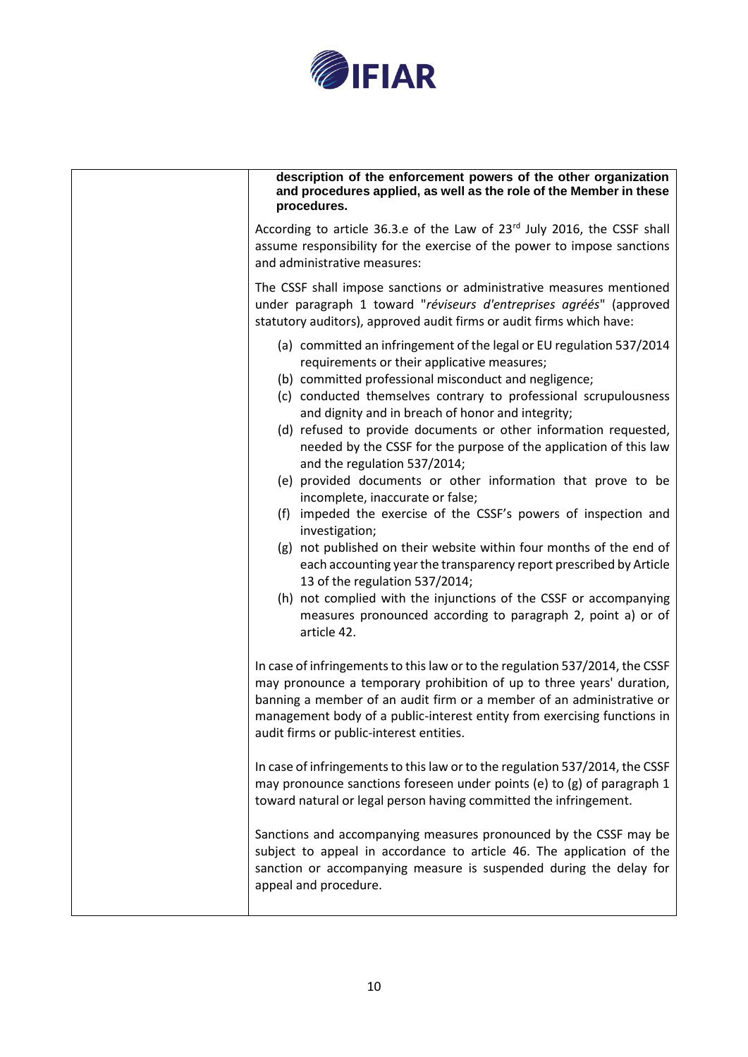

| description of the enforcement powers of the other organization<br>and procedures applied, as well as the role of the Member in these<br>procedures.                                                                                                                                                                                                                                                                                                                                                                                                                                                                                                                                                                                                                                                                                                                                                                                                                                                       |
|------------------------------------------------------------------------------------------------------------------------------------------------------------------------------------------------------------------------------------------------------------------------------------------------------------------------------------------------------------------------------------------------------------------------------------------------------------------------------------------------------------------------------------------------------------------------------------------------------------------------------------------------------------------------------------------------------------------------------------------------------------------------------------------------------------------------------------------------------------------------------------------------------------------------------------------------------------------------------------------------------------|
| According to article 36.3.e of the Law of 23 <sup>rd</sup> July 2016, the CSSF shall<br>assume responsibility for the exercise of the power to impose sanctions<br>and administrative measures:                                                                                                                                                                                                                                                                                                                                                                                                                                                                                                                                                                                                                                                                                                                                                                                                            |
| The CSSF shall impose sanctions or administrative measures mentioned<br>under paragraph 1 toward "réviseurs d'entreprises agréés" (approved<br>statutory auditors), approved audit firms or audit firms which have:                                                                                                                                                                                                                                                                                                                                                                                                                                                                                                                                                                                                                                                                                                                                                                                        |
| (a) committed an infringement of the legal or EU regulation 537/2014<br>requirements or their applicative measures;<br>(b) committed professional misconduct and negligence;<br>(c) conducted themselves contrary to professional scrupulousness<br>and dignity and in breach of honor and integrity;<br>(d) refused to provide documents or other information requested,<br>needed by the CSSF for the purpose of the application of this law<br>and the regulation 537/2014;<br>(e) provided documents or other information that prove to be<br>incomplete, inaccurate or false;<br>(f) impeded the exercise of the CSSF's powers of inspection and<br>investigation;<br>(g) not published on their website within four months of the end of<br>each accounting year the transparency report prescribed by Article<br>13 of the regulation 537/2014;<br>(h) not complied with the injunctions of the CSSF or accompanying<br>measures pronounced according to paragraph 2, point a) or of<br>article 42. |
| In case of infringements to this law or to the regulation 537/2014, the CSSF<br>may pronounce a temporary prohibition of up to three years' duration,<br>banning a member of an audit firm or a member of an administrative or<br>management body of a public-interest entity from exercising functions in<br>audit firms or public-interest entities.                                                                                                                                                                                                                                                                                                                                                                                                                                                                                                                                                                                                                                                     |
| In case of infringements to this law or to the regulation 537/2014, the CSSF<br>may pronounce sanctions foreseen under points (e) to (g) of paragraph 1<br>toward natural or legal person having committed the infringement.                                                                                                                                                                                                                                                                                                                                                                                                                                                                                                                                                                                                                                                                                                                                                                               |
| Sanctions and accompanying measures pronounced by the CSSF may be<br>subject to appeal in accordance to article 46. The application of the<br>sanction or accompanying measure is suspended during the delay for<br>appeal and procedure.                                                                                                                                                                                                                                                                                                                                                                                                                                                                                                                                                                                                                                                                                                                                                                  |